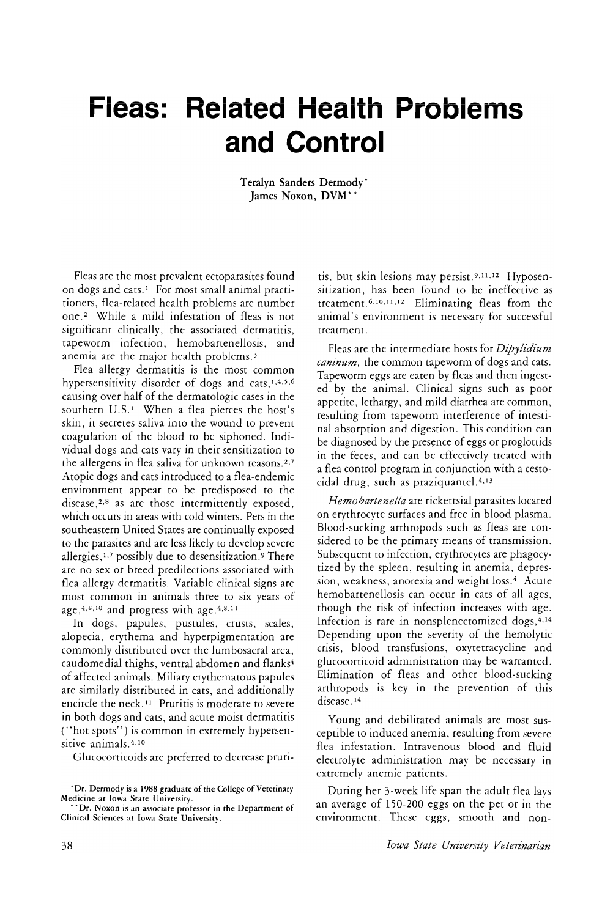## **Fleas: Related Health Problems and Control**

Teralyn Sanders Dermody \* James Noxon, DVM\* \*

Fleas are the most prevalent ectoparasites found on dogs and cats. <sup>1</sup> For most small animal practitioners, flea-related health problems are number one.<sup>2</sup> While a mild infestation of fleas is not significant clinically, the associated dermatitis, tapeworm infection, hemobartenellosis, and anemia are the major health problems. 3

Flea allergy dermatitis is the most common hypersensitivity disorder of dogs and cats, $1,4,5,6$ causing over half of the dermatologic cases in the southern U.S.<sup>1</sup> When a flea pierces the host's skin, it secretes saliva into the wound to prevent coagulation of the blood to be siphoned. Individual dogs and cats vary in their sensitization to the allergens in flea saliva for unknown reasons.<sup>2,7</sup> Atopic dogs and cats introduced to a flea-endemic environment appear to be predisposed to the disease,2,8 as are those intermittently exposed, which occurs in areas with cold winters. Pets in the southeastern United States are continually exposed to the parasites and are less likely to develop severe allergies, 1,7 possibly due to desensitization. <sup>9</sup> There are no sex or breed predilections associated with flea allergy dermatitis. Variable clinical signs are most common in animals three to six years of age,  $4,8,10$  and progress with age.  $4,8,11$ 

In dogs, papules, pustules, crusts, scales, alopecia, erythema and hyperpigmentation are commonly distributed over the lumbosacral area, caudomedial thighs, ventral abdomen and flanks4 of affected animals. Miliary erythematous papules are similarly distributed in cats, and additionally encircle the neck. <sup>11</sup> Pruritis is moderate to severe in both dogs and cats, and acute moist dermatitis ("hot spots") is common in extremely hypersensitive animals. 4,10

Glucocorticoids are preferred to decrease pruri-

tis, but skin lesions may persist. <sup>9</sup>,11,12 Hyposensitization, has been found to be ineffective as treatment. 6, 10, 11,12 Eliminating fleas from the animal's environment is necessary for successful treatment.

Fleas are the intermediate hosts for *Dipylidium caninum,* the common tapeworm of dogs and cats. Tapeworm eggs are eaten by fleas and then ingested by the animal. Clinical signs such as poor appetite, lethargy, and mild diarrhea are common, resulting from tapeworm interference of intestinal absorption and digestion. This condition can be diagnosed by the presence of eggs or proglottids in the feces, and can be effectively treated with a flea control program in conjunction with a cestocidal drug, such as praziquantel.<sup>4,13</sup>

*Hemobartenella* are rickettsial parasites located on erythrocyte surfaces and free in blood plasma. Blood-sucking arthropods such as fleas are considered to be the primary means of transmission. Subsequent to infection, erythrocytes are phagocytized by the spleen, resulting in anemia, depression, weakness, anorexia and weight loss.4 Acute hemobartenellosis can occur in cats of all ages, though the risk of infection increases with age. Infection is rare in nonsplenectomized dogs, 4,14 Depending upon the severity of the hemolytic crisis, blood transfusions, oxytetracycline and glucocorticoid administration may be warranted. Elimination of fleas and other blood-sucking arthropods is key in the prevention of this disease.<sup>14</sup>

Young and debilitated animals are most susceptible to induced anemia, resulting from severe flea infestation. Intravenous blood and fluid electrolyte administration may be necessary in extremely anemic patients.

During her 3-week life span the adult flea lays an average of 150-200 eggs on the pet or in the environment. These eggs, smooth and non-

<sup>\*</sup>Dr. Dermody is a 1988 graduate of the College of Veterinary

Medicine at Iowa State University.<br>\*\*\*Dr. Noxon is an associate professor in the Department of Clinical Sciences at Iowa State University.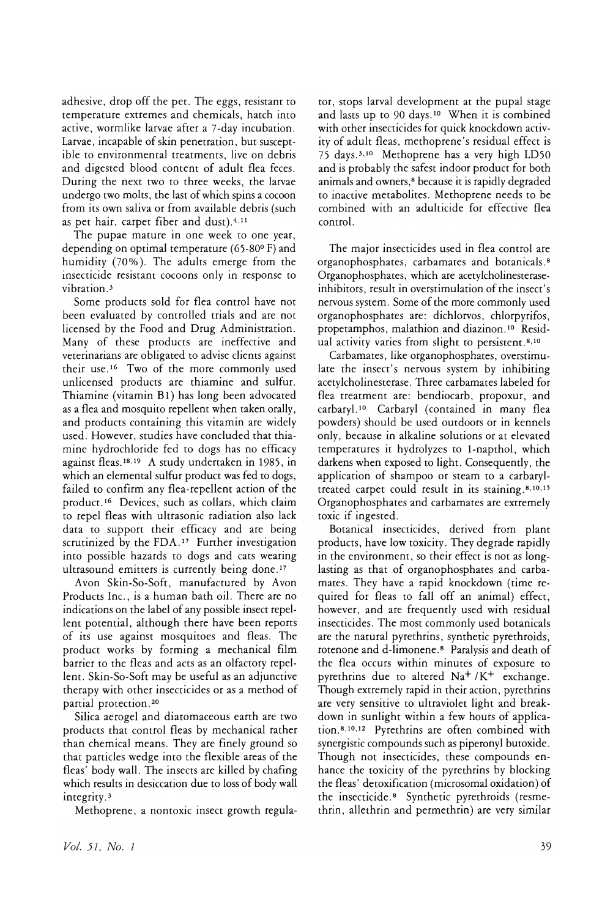adhesive, drop off the pet. The eggs, resistant to temperature extremes and chemicals, hatch into active, wormlike larvae after a 7-day incubation. Larvae, incapable of skin penetration, but susceptible to environmental treatments, live on debris and digested blood content of adult flea feces. During the next two to three weeks, the larvae undergo two molts, the last of which spins a cocoon from its own saliva or from available debris (such as pet hair, carpet fiber and dust).<sup>4,11</sup>

The pupae mature in one week to one year, depending on optimal temperature (65-80° F) and humidity (70%). The adults emerge from the insecticide resistant cocoons only in response to vibration.<sup>3</sup>

Some products sold for flea control have not been evaluated by controlled trials and are not licensed by the Food and Drug Administration. Many of these products are ineffective and veterinarians are obligated to advise clients against their use. <sup>16</sup> Two of the more commonly used unlicensed products are thiamine and sulfur. Thiamine (vitamin B1) has long been advocated as a flea and mosquito repellent when taken orally, and products containing this vitamin are widely used. However, studies have concluded that thiamine hydrochloride fed to dogs has no efficacy against fleas. <sup>18</sup> ,19 A study undertaken in 1985, in which an elemental sulfur product was fed to dogs, failed to confirm any flea-repellent action of the product. <sup>16</sup> Devices, such as collars, which claim to repel fleas with ultrasonic radiation also lack data to support their efficacy and are being scrutinized by the FDA.<sup>17</sup> Further investigation into possible hazards to dogs and cats wearing ultrasound emitters is currently being done. <sup>17</sup>

Avon Skin-So-Soft, manufactured by Avon Products Inc., is a human bath oil. There are no indications on the label of any possible insect repellent potential, although there have been reports of its use against mosquitoes and fleas. The product works by forming a mechanical film barrier to the fleas and acts as an olfactory repellent. Skin-So-Soft may be useful as an adjunctive therapy with other insecticides or as a method of partial protection. <sup>20</sup>

Silica aerogel and diatomaceous earth are two products that control fleas by mechanical rather than chemical means. They are finely ground so that particles wedge into the flexible areas of the fleas' body wall. The insects are killed by chafing which results in desiccation due to loss of body wall integrity. 3

Methoprene, a nontoxic insect growth regula-

tor, stops larval development at the pupal stage and lasts up to 90 days.<sup>10</sup> When it is combined with other insecticides for quick knockdown activity of adult fleas, methoprene's residual effect is 75 days.3,10 Methoprene has a very high LD50 and is probably the safest indoor product for both animals and owners,8 because it is rapidly degraded to inactive metabolites. Methoprene needs to be combined with an adulticide for effective flea control.

The major insecticides used in flea control are organophosphates, carbamates and botanicals. 8 Organophosphates, which are acetylcholinesteraseinhibitors, result in overstimulation of the insect's nervous system. Some of the more commonly used organophosphates are: dichlorvos, chlorpyrifos, propetamphos, malathion and diazinon. <sup>10</sup> Residual activity varies from slight to persistent.<sup>8,10</sup>

Carbamates, like organophosphates, overstimu~ late the insect's nervous system by inhibiting acetylcholinesterase. Three carbamates labeled for flea treatment are: bendiocarb, propoxur, and carbaryl. <sup>10</sup> Carbaryl (contained in many flea powders) should be used outdoors or in kennels only, because in alkaline solutions or at elevated temperatures it hydrolyzes to 1-napthol, which darkens when exposed to light. Consequently, the application of shampoo or steam to a carbaryltreated carpet could result in its staining. 8, 10, <sup>15</sup> Organophosphates and carbamates are extremely toxic if ingested.

Botanical insecticides, derived from plant products, have low toxicity. They degrade rapidly in the environment, so their effect is not as longlasting as that of organophosphates and carbamates. They have a rapid knockdown (time required for fleas to fall off an animal) effect, however, and are frequently used with residual insecticides. The most commonly used botanicals are the natural pyrethrins, synthetic pyrethroids, rotenone and d-limonene. 8 Paralysis and death of the flea occurs within minutes of exposure to pyrethrins due to altered Na<sup>+</sup> /K<sup>+</sup> exchange. Though extremely rapid in their action, pyrethrins are very sensitive to ultraviolet light and breakdown in sunlight within a few hours of application. 8,10,12 Pyrethrins are often combined with synergistic compounds such as piperonyl butoxide. Though not insecticides, these compounds enhance the toxicity of the pyrethrins by blocking the fleas' detoxification (microsomal oxidation) of the insecticide. 8 Synthetic pyrethroids (resmethrin, allethrin and permethrin) are very similar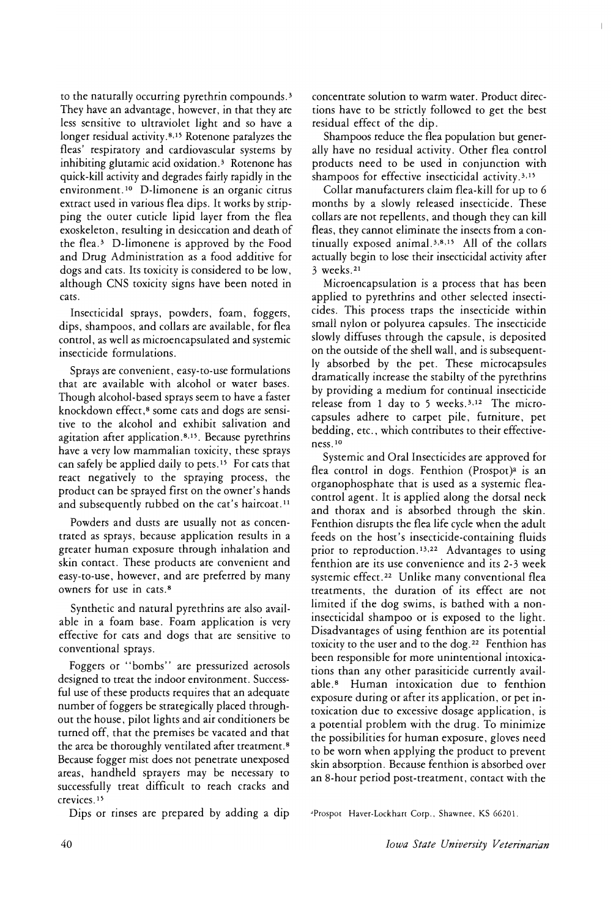to the naturally occurring pyrethrin compounds.<sup>3</sup> They have an advantage, however, in that they are less sensitive to ultraviolet light and so have a longer residual activity.<sup>8,15</sup> Rotenone paralyzes the fleas' respiratory and cardiovascular systems by inhibiting glutamic acid oxidation.<sup>3</sup> Rotenone has quick-kill activity and degrades fairly rapidly in the environment.<sup>10</sup> D-limonene is an organic citrus extract used in various flea dips. It works by stripping the outer cuticle lipid layer from the flea exoskeleton, resulting in desiccation and death of the flea.<sup>3</sup> D-limonene is approved by the Food and Drug Administration as a food additive for dogs and cats. Its toxicity is considered to be low, although CNS toxicity signs have been noted in cats.

Insecticidal sprays, powders, foam, foggers, dips, shampoos, and collars are available, for flea control, as well as microencapsulated and systemic insecticide formulations.

Sprays are convenient, easy-to-use formulations that are available with alcohol or water bases. Though alcohol-based sprays seem to have a faster knockdown effect,<sup>8</sup> some cats and dogs are sensitive to the alcohol and exhibit salivation and agitation after application.<sup>8,15</sup>. Because pyrethrins have a very low mammalian toxicity, these sprays can safely be applied daily to pets.<sup>15</sup> For cats that react negatively to the spraying process, the product can be sprayed first on the owner's hands and subsequently rubbed on the cat's haircoat.<sup>11</sup>

Powders and dusts are usually not as concentrated as sprays, because application results in a greater human exposure through inhalation and skin contact. These products are convenient and easy-to-use, however, and are preferred by many owners for use in cats. 8

Synthetic and natural pyrethrins are also available in a foam base. Foam application is very effective for cats and dogs that are sensitive to conventional sprays.

Foggers or "bombs" are pressurized aerosols designed to treat the indoor environment. Successful use of these products requires that an adequate number of foggers be strategically placed throughout the house, pilot lights and air conditioners be turned off, that the premises be vacated and that the area be thoroughly ventilated after treatment. 8 Because fogger mist does not penetrate unexposed areas, handheld sprayers may be necessary to successfully treat difficult to reach cracks and crevices. <sup>15</sup>

Dips or rinses are prepared by adding a dip

concentrate solution to warm water. Product directions have to be strictly followed to get the best residual effect of the dip.

 $\mathsf{I}$ 

Shampoos reduce the flea population but generally have no residual activity. Other flea control products need to be used in conjunction with shampoos for effective insecticidal activity.3,15

Collar manufacturers claim flea-kill for up to 6 months by a slowly released insecticide. These collars are not repellents, and though they can kill fleas, they cannot eliminate the insects from a continually exposed anima1. 3,8,15 All of the collars actually begin to lose their insecticidal activity after 3 weeks. <sup>21</sup>

Microencapsulation is a process that has been applied to pyrethrins and other selected insecticides. This process traps the insecticide within small nylon or polyurea capsules. The insecticide slowly diffuses through the capsule, is deposited on the outside of the shell wall, and is subsequently absorbed by the pet. These microcapsules dramatically increase the stabilty of the pyrethrins by providing a medium for continual insecticide release from 1 day to 5 weeks.  $3,12$  The microcapsules adhere to carpet pile, furniture, pet bedding, etc., which contributes to their effective $ness.$ <sup>10</sup>

Systemic and Oral Insecticides are approved for flea control in dogs. Fenthion (Prospot)<sup>a</sup> is an organophosphate that is used as a systemic fleacontrol agent. It is applied along the dorsal neck and thorax and is absorbed through the skin. Fenthion disrupts the flea life cycle when the adult feeds on the host's insecticide-containing fluids prior to reproduction.<sup>13,22</sup> Advantages to using fenthion are its use convenience and its 2-3 week systemic effect.<sup>22</sup> Unlike many conventional flea treatments, the duration of its effect are not limited if the dog swims, is bathed with a noninsecticidal shampoo or is exposed to the light. Disadvantages of using fenthion are its potential toxicity to the user and to the dog. <sup>22</sup> Fenthion has been responsible for more unintentional intoxications than any other parasiticide currently available.<sup>8</sup> Human intoxication due to fenthion exposure during or after its application, or pet intoxication due to excessive dosage application, is a potential problem with the drug. To minimize the possibilities for human exposure, gloves need to be worn when applying the product to prevent skin absorption. Because fenthion is absorbed over an 8-hour period post-treatment, contact with the

JProspor Haver-Lockhart Corp., Shawnee, KS 66201.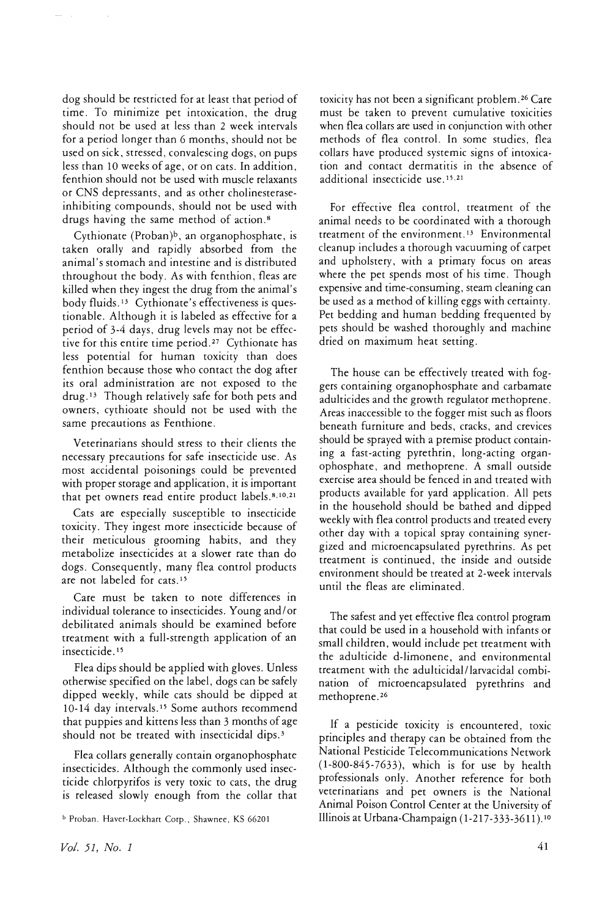dog should be restricted for at least that period of time. To minimize pet intoxication, the drug should not be used at less than 2 week intervals for a period longer than 6 months, should not be used on sick, stressed, convalescing dogs, on pups less than 10 weeks of age, or on cats. In addition, fenthion should not be used with muscle relaxants or CNS depressants, and as other cholinesteraseinhibiting compounds, should not be used with drugs having the same method of action. <sup>8</sup>

Cythionate (Proban)<sup>b</sup>, an organophosphate, is taken orally and rapidly absorbed from the animal's stomach and intestine and is distributed throughout the body. As with fenthion, fleas are killed when they ingest the drug from the animal's body fluids. <sup>13</sup> Cythionate's effectiveness is questionable. Although it is labeled as effective for a period of 3-4 days, drug levels may not be effective for this entire time period. <sup>27</sup> Cythionate has less potential for human toxicity than does fenthion because those who contact the dog after its oral administration are not exposed to the drug. <sup>13</sup> Though relatively safe for both pets and owners, cythioate should not be used with the same precautions as Fenthione.

Veterinarians should stress to their clients the necessary precautions for safe insecticide use. As most accidental poisonings could be prevented with proper storage and application, it is important that pet owners read entire product labels. 8,10,21

Cats are especially susceptible to insecticide toxicity. They ingest more insecticide because of their meticulous grooming habits, and they metabolize insecticides at a slower rate than do dogs. Consequently, many flea control products are not labeled for cats. <sup>15</sup>

Care must be taken to note differences in individual tolerance to insecticides. Young and/ or debilitated animals should be examined before treatment with a full-strength application of an insecticide. <sup>15</sup>

Flea dips should be applied with gloves. Unless otherwise specified on the label, dogs can be safely dipped weekly, while cats should be dipped at 10-14 day intervals. <sup>15</sup> Some authors recommend that puppies and kittens less than 3 months of age should not be treated with insecticidal dips.3

Flea collars generally contain organophosphate insecticides. Although the commonly used insecticide chlorpyrifos is very toxic to cats, the drug is released slowly enough from the collar that toxicity has not been a significant problem. <sup>26</sup> Care must be taken to prevent cumulative toxicities when flea collars are used in conjunction with other methods of flea control. In some studies, flea collars have produced systemic signs of intoxication and contact dermatitis in the absence of additional insecticide use 15.21

For effective flea control, treatment of the animal needs to be coordinated with a thorough treatment of the environment.<sup>13</sup> Environmental cleanup includes a thorough vacuuming of carpet and upholstery, with a primary focus on areas where the pet spends most of his time. Though expensive and time-consuming, steam cleaning can be used as a method of killing eggs with certainty. Pet bedding and human bedding frequented by pets should be washed thoroughly and machine dried on maximum heat setting.

The house can be effectively treated with foggers containing organophosphate and carbamate adulticides and the growth regulator methoprene. Areas inaccessible to the fogger mist such as floors beneath furniture and beds, cracks, and crevices should be sprayed with a premise product containing a fast-acting pyrethrin, long-acting organophosphate, and methoprene. A small outside exercise area should be fenced in and treated with products available for yard application. All pets in the household should be bathed and dipped weekly with flea control products and treated every other day with a topical spray containing synergized and microencapsulated pyrethrins. As pet treatment is continued, the inside and outside environment should be treated at 2-week intervals until the fleas are eliminated.

The safest and yet effective flea control program that could be used in a household with infants or small children, would include pet treatment with the adulticide d-limonene, and environmental treatment with the adulticidal/larvacidal combination of microencapsulated pyrethrins and methoprene. <sup>26</sup>

If a pesticide toxicity is encountered, toxic principles and therapy can be obtained from the National Pesticide Telecommunications Network (1-800-845-7633), which is for use by health professionals only. Another reference for both veterinarians and pet owners is the National Animal Poison Control Center at the University of Illinois at Urbana-Champaign (1-217-333-3611).10

<sup>b</sup> Proban. Haver-Lockhart Corp., Shawnee, KS 66201